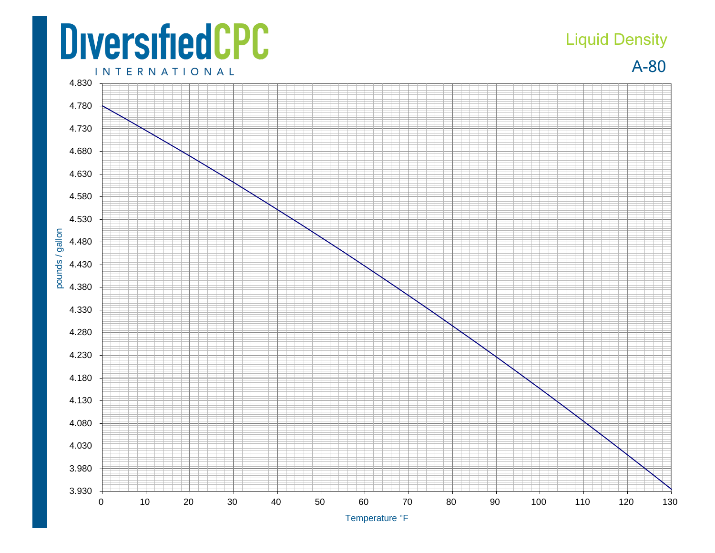## **DiversifiedCPC**

## Liquid Density

A-80

**INTERNATIONAL**